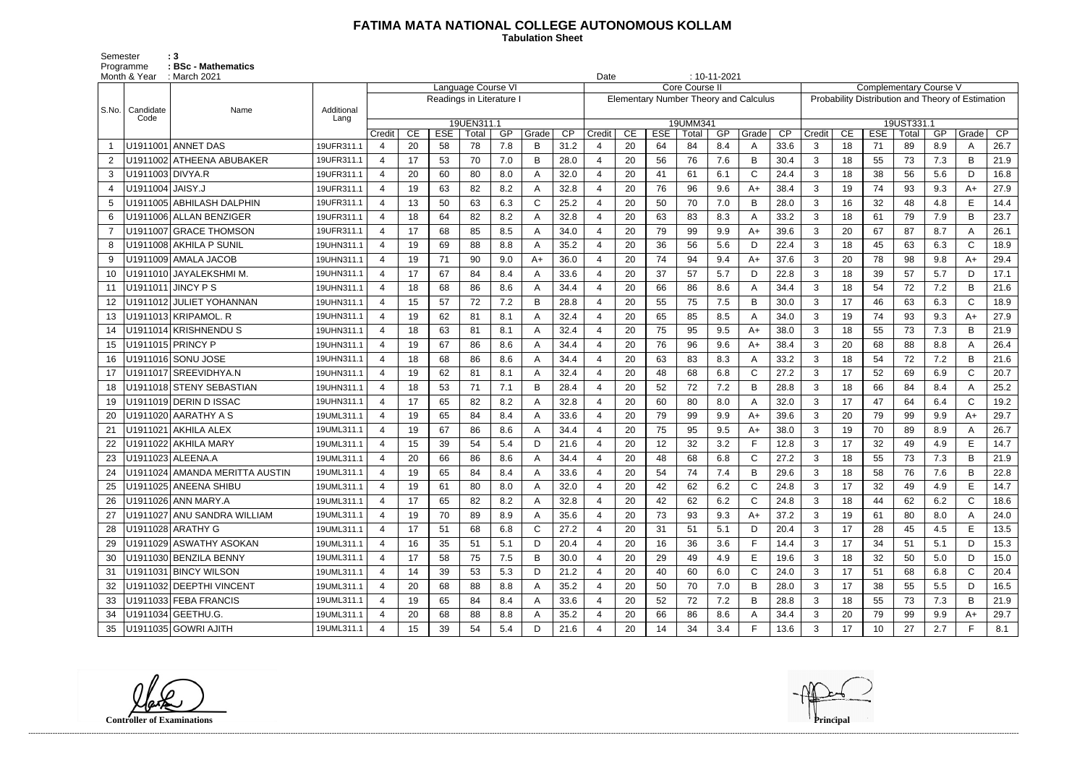## **FATIMA MATA NATIONAL COLLEGE AUTONOMOUS KOLLAM**

Semester : 3 Programme **: BSc - Mathematics**  **Tabulation Sheet** 

|       | Month & Year     | : March 2021                   | $: 10 - 11 - 2021$<br>Date<br>Core Course II<br><b>Complementary Course V</b> |                                                |    |            |       |     |       |      |        |    |            |          |     |                                              |      |              |    |            |            |                                                   |              |                 |  |  |  |  |  |  |  |  |
|-------|------------------|--------------------------------|-------------------------------------------------------------------------------|------------------------------------------------|----|------------|-------|-----|-------|------|--------|----|------------|----------|-----|----------------------------------------------|------|--------------|----|------------|------------|---------------------------------------------------|--------------|-----------------|--|--|--|--|--|--|--|--|
|       | Candidate        |                                |                                                                               | Language Course VI<br>Readings in Literature I |    |            |       |     |       |      |        |    |            |          |     |                                              |      |              |    |            |            | Probability Distribution and Theory of Estimation |              |                 |  |  |  |  |  |  |  |  |
| S.No. |                  | Name                           | Additional                                                                    |                                                |    |            |       |     |       |      |        |    |            |          |     | <b>Elementary Number Theory and Calculus</b> |      |              |    |            |            |                                                   |              |                 |  |  |  |  |  |  |  |  |
|       | Code             |                                | Lang                                                                          | 19UEN311.1                                     |    |            |       |     |       |      |        |    |            | 19UMM341 |     |                                              |      |              |    |            | 19UST331.1 |                                                   |              |                 |  |  |  |  |  |  |  |  |
|       |                  |                                |                                                                               | Credit                                         | CE | <b>ESE</b> | Total | GP  | Grade | CP   | Credit | CE | <b>ESE</b> | Total    | GP  | Grade                                        | CP   | Credit       | CE | <b>ESE</b> | Total      | GP                                                | Grade        | $\overline{CP}$ |  |  |  |  |  |  |  |  |
|       |                  | U1911001 ANNET DAS             | 19UFR311.1                                                                    | 4                                              | 20 | 58         | 78    | 7.8 | B     | 31.2 |        | 20 | 64         | 84       | 8.4 | A                                            | 33.6 | 3            | 18 | 71         | 89         | 8.9                                               | A            | 26.7            |  |  |  |  |  |  |  |  |
|       |                  | U1911002 ATHEENA ABUBAKER      | 19UFR311.1                                                                    | 4                                              | 17 | 53         | 70    | 7.0 | B     | 28.0 |        | 20 | 56         | 76       | 7.6 | B                                            | 30.4 | 3            | 18 | 55         | 73         | 7.3                                               | B            | 21.9            |  |  |  |  |  |  |  |  |
| 3     | U1911003 DIVYA.R |                                | 19UFR311.1                                                                    | 4                                              | 20 | 60         | 80    | 8.0 | A     | 32.0 |        | 20 | 41         | 61       | 6.1 | $\mathsf{C}$                                 | 24.4 | 3            | 18 | 38         | 56         | 5.6                                               | D            | 16.8            |  |  |  |  |  |  |  |  |
|       | U1911004 JAISY.J |                                | 19UFR311.1                                                                    | 4                                              | 19 | 63         | 82    | 8.2 |       | 32.8 |        | 20 | 76         | 96       | 9.6 | $A+$                                         | 38.4 | 3            | 19 | 74         | 93         | 9.3                                               | A+           | 27.9            |  |  |  |  |  |  |  |  |
| 5     |                  | U1911005 ABHILASH DALPHIN      | 19UFR311.1                                                                    | 4                                              | 13 | 50         | 63    | 6.3 | C     | 25.2 |        | 20 | 50         | 70       | 7.0 | B                                            | 28.0 | 3            | 16 | 32         | 48         | 4.8                                               | E            | 14.4            |  |  |  |  |  |  |  |  |
| 6     |                  | U1911006 ALLAN BENZIGER        | 19UFR311.1                                                                    | 4                                              | 18 | 64         | 82    | 8.2 |       | 32.8 |        | 20 | 63         | 83       | 8.3 | A                                            | 33.2 | 3            | 18 | 61         | 79         | 7.9                                               | B            | 23.7            |  |  |  |  |  |  |  |  |
|       |                  | U1911007 GRACE THOMSON         | 19UFR311.1                                                                    | 4                                              | 17 | 68         | 85    | 8.5 |       | 34.0 |        | 20 | 79         | 99       | 9.9 | A+                                           | 39.6 | 3            | 20 | 67         | 87         | 8.7                                               | A            | 26.1            |  |  |  |  |  |  |  |  |
|       |                  | U1911008 AKHILA P SUNIL        | 19UHN311.1                                                                    | 4                                              | 19 | 69         | 88    | 8.8 | A     | 35.2 |        | 20 | 36         | 56       | 5.6 | D                                            | 22.4 | 3            | 18 | 45         | 63         | 6.3                                               | $\mathsf{C}$ | 18.9            |  |  |  |  |  |  |  |  |
| -9    |                  | U1911009 AMALA JACOB           | 19UHN311.1                                                                    | $\boldsymbol{\Delta}$                          | 19 | 71         | 90    | 9.0 | $A+$  | 36.0 |        | 20 | 74         | 94       | 9.4 | $A+$                                         | 37.6 | 3            | 20 | 78         | 98         | 9.8                                               | A+           | 29.4            |  |  |  |  |  |  |  |  |
| 10    |                  | U1911010 JAYALEKSHMI M.        | 19UHN311.1                                                                    | $\overline{4}$                                 | 17 | 67         | 84    | 8.4 | Α     | 33.6 |        | 20 | 37         | 57       | 5.7 | D                                            | 22.8 | 3            | 18 | 39         | 57         | 5.7                                               | D            | 17.1            |  |  |  |  |  |  |  |  |
| 11    |                  | U1911011 JINCY P S             | 19UHN311.1                                                                    | 4                                              | 18 | 68         | 86    | 8.6 |       | 34.4 |        | 20 | 66         | 86       | 8.6 | A                                            | 34.4 | 3            | 18 | 54         | 72         | 7.2                                               | B            | 21.6            |  |  |  |  |  |  |  |  |
| 12    |                  | U1911012 JULIET YOHANNAN       | 19UHN311.1                                                                    | $\boldsymbol{\Delta}$                          | 15 | 57         | 72    | 7.2 | B     | 28.8 |        | 20 | 55         | 75       | 7.5 | B                                            | 30.0 | 3            | 17 | 46         | 63         | 6.3                                               | $\mathsf{C}$ | 18.9            |  |  |  |  |  |  |  |  |
| 13    |                  | U1911013 KRIPAMOL. R           | 19UHN311.1                                                                    | 4                                              | 19 | 62         | 81    | 8.1 | A     | 32.4 |        | 20 | 65         | 85       | 8.5 | A                                            | 34.0 | 3            | 19 | 74         | 93         | 9.3                                               | $A+$         | 27.9            |  |  |  |  |  |  |  |  |
| 14    |                  | U1911014 KRISHNENDUS           | 19UHN311.1                                                                    | 4                                              | 18 | 63         | 81    | 8.1 | A     | 32.4 |        | 20 | 75         | 95       | 9.5 | $A+$                                         | 38.0 | 3            | 18 | 55         | 73         | 7.3                                               | B            | 21.9            |  |  |  |  |  |  |  |  |
| 15    |                  | U1911015 PRINCY P              | 19UHN311.1                                                                    | 4                                              | 19 | 67         | 86    | 8.6 | А     | 34.4 |        | 20 | 76         | 96       | 9.6 | $A+$                                         | 38.4 | 3            | 20 | 68         | 88         | 8.8                                               | A            | 26.4            |  |  |  |  |  |  |  |  |
| 16    |                  | U1911016 SONU JOSE             | 19UHN311.1                                                                    | 4                                              | 18 | 68         | 86    | 8.6 |       | 34.4 |        | 20 | 63         | 83       | 8.3 | A                                            | 33.2 | 3            | 18 | 54         | 72         | 7.2                                               | B            | 21.6            |  |  |  |  |  |  |  |  |
| 17    |                  | U1911017 SREEVIDHYA.N          | 19UHN311.1                                                                    | $\boldsymbol{\Delta}$                          | 19 | 62         | 81    | 8.1 |       | 32.4 |        | 20 | 48         | 68       | 6.8 | $\mathsf{C}$                                 | 27.2 | 3            | 17 | 52         | 69         | 6.9                                               | C            | 20.7            |  |  |  |  |  |  |  |  |
| 18    |                  | U1911018 STENY SEBASTIAN       | 19UHN311.1                                                                    | $\boldsymbol{\Delta}$                          | 18 | 53         | 71    | 7.1 | B     | 28.4 |        | 20 | 52         | 72       | 7.2 | B                                            | 28.8 | 3            | 18 | 66         | 84         | 8.4                                               | A            | 25.2            |  |  |  |  |  |  |  |  |
| 19    |                  | U1911019 DERIN D ISSAC         | 19UHN311.1                                                                    | $\boldsymbol{\Delta}$                          | 17 | 65         | 82    | 8.2 |       | 32.8 |        | 20 | 60         | 80       | 8.0 | A                                            | 32.0 | 3            | 17 | 47         | 64         | 6.4                                               | $\mathsf C$  | 19.2            |  |  |  |  |  |  |  |  |
| 20    |                  | U1911020 AARATHY A S           | 19UML311.1                                                                    | $\overline{4}$                                 | 19 | 65         | 84    | 8.4 | A     | 33.6 |        | 20 | 79         | 99       | 9.9 | $A+$                                         | 39.6 | 3            | 20 | 79         | 99         | 9.9                                               | A+           | 29.7            |  |  |  |  |  |  |  |  |
|       |                  | U1911021 AKHILA ALEX           | 19UML311.1                                                                    | 4                                              | 19 | 67         | 86    | 8.6 |       | 34.4 |        | 20 | 75         | 95       | 9.5 | $A+$                                         | 38.0 | 3            | 19 | 70         | 89         | 8.9                                               | A            | 26.7            |  |  |  |  |  |  |  |  |
|       |                  | U1911022 AKHILA MARY           | 19UML311.1                                                                    | 4                                              | 15 | 39         | 54    | 5.4 | D     | 21.6 |        | 20 | 12         | 32       | 3.2 | F                                            | 12.8 | 3            | 17 | 32         | 49         | 4.9                                               | E            | 14.7            |  |  |  |  |  |  |  |  |
|       |                  | U1911023 ALEENA.A              | 19UML311.1                                                                    | 4                                              | 20 | 66         | 86    | 8.6 | А     | 34.4 |        | 20 | 48         | 68       | 6.8 | $\mathsf{C}$                                 | 27.2 | 3            | 18 | 55         | 73         | 7.3                                               | B            | 21.9            |  |  |  |  |  |  |  |  |
| 24    |                  | U1911024 AMANDA MERITTA AUSTIN | 19UML311.1                                                                    |                                                | 19 | 65         | 84    | 8.4 |       | 33.6 |        | 20 | 54         | 74       | 7.4 | B                                            | 29.6 | 3            | 18 | 58         | 76         | 7.6                                               | В            | 22.8            |  |  |  |  |  |  |  |  |
|       |                  | U1911025 ANEENA SHIBU          | 19UML311.1                                                                    | 4                                              | 19 | 61         | 80    | 8.0 | A     | 32.0 |        | 20 | 42         | 62       | 6.2 | C                                            | 24.8 | 3            | 17 | 32         | 49         | 4.9                                               | E            | 14.7            |  |  |  |  |  |  |  |  |
| 26    |                  | U1911026 ANN MARY.A            | 19UML311.1                                                                    | 4                                              | 17 | 65         | 82    | 8.2 |       | 32.8 |        | 20 | 42         | 62       | 6.2 | C.                                           | 24.8 | $\mathbf{3}$ | 18 | 44         | 62         | 6.2                                               | $\mathsf{C}$ | 18.6            |  |  |  |  |  |  |  |  |
| 27    |                  | U1911027 ANU SANDRA WILLIAM    | 19UML311.1                                                                    | $\overline{4}$                                 | 19 | 70         | 89    | 8.9 | A     | 35.6 |        | 20 | 73         | 93       | 9.3 | $A+$                                         | 37.2 | $\mathbf{3}$ | 19 | 61         | 80         | 8.0                                               | A            | 24.0            |  |  |  |  |  |  |  |  |
| 28    |                  | U1911028 ARATHY G              | 19UML311.1                                                                    | 4                                              | 17 | 51         | 68    | 6.8 | C     | 27.2 | 4      | 20 | 31         | 51       | 5.1 | D                                            | 20.4 | $\mathbf{3}$ | 17 | 28         | 45         | 4.5                                               | Е            | 13.5            |  |  |  |  |  |  |  |  |
| 29    |                  | U1911029 ASWATHY ASOKAN        | 19UML311.1                                                                    | 4                                              | 16 | 35         | 51    | 5.1 | D     | 20.4 |        | 20 | 16         | 36       | 3.6 | F                                            | 14.4 | $\mathbf{3}$ | 17 | 34         | 51         | 5.1                                               | D            | 15.3            |  |  |  |  |  |  |  |  |
| 30    |                  | U1911030 BENZILA BENNY         | 19UML311.1                                                                    | 4                                              | 17 | 58         | 75    | 7.5 | B     | 30.0 |        | 20 | 29         | 49       | 4.9 | E                                            | 19.6 | $\mathbf{3}$ | 18 | 32         | 50         | 5.0                                               | D            | 15.0            |  |  |  |  |  |  |  |  |
| 31    |                  | U1911031 BINCY WILSON          | 19UML311.1                                                                    | 4                                              | 14 | 39         | 53    | 5.3 | D     | 21.2 |        | 20 | 40         | 60       | 6.0 | C                                            | 24.0 | $\mathbf{3}$ | 17 | 51         | 68         | 6.8                                               | $\mathsf{C}$ | 20.4            |  |  |  |  |  |  |  |  |
| 32    |                  | U1911032 DEEPTHI VINCENT       | 19UML311.1                                                                    | 4                                              | 20 | 68         | 88    | 8.8 |       | 35.2 |        | 20 | 50         | 70       | 7.0 | B                                            | 28.0 | $\mathbf{3}$ | 17 | 38         | 55         | 5.5                                               | D            | 16.5            |  |  |  |  |  |  |  |  |
| 33    |                  | U1911033 FEBA FRANCIS          | 19UML311.1                                                                    | 4                                              | 19 | 65         | 84    | 8.4 |       | 33.6 |        | 20 | 52         | 72       | 7.2 | B                                            | 28.8 | 3            | 18 | 55         | 73         | 7.3                                               | B            | 21.9            |  |  |  |  |  |  |  |  |
| 34    |                  | U1911034 GEETHU.G.             | 19UML311.1                                                                    |                                                | 20 | 68         | 88    | 8.8 |       | 35.2 |        | 20 | 66         | 86       | 8.6 | A                                            | 34.4 | $\mathbf{3}$ | 20 | 79         | 99         | 9.9                                               | $A+$         | 29.7            |  |  |  |  |  |  |  |  |
| 35    |                  | U1911035 GOWRI AJITH           | 19UML311.1                                                                    | 4                                              | 15 | 39         | 54    | 5.4 | D     | 21.6 |        | 20 | 14         | 34       | 3.4 | F.                                           | 13.6 | $\mathbf{3}$ | 17 | 10         | 27         | 2.7                                               | F.           | 8.1             |  |  |  |  |  |  |  |  |

**Controller of Examinations Principal**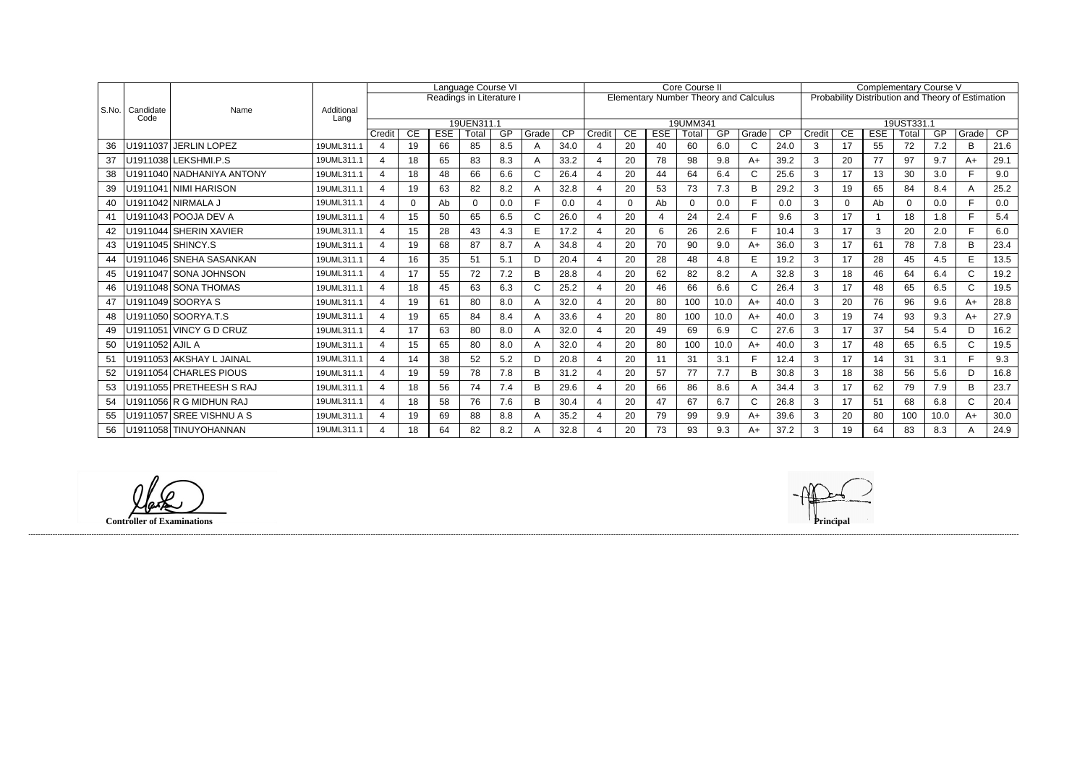|       |                   | Name                      | Additional<br>Lang | Language Course VI       |     |            |              |     |       |                 |        |           |            | Core Course II |      |                                              |                 | <b>Complementary Course V</b><br>Probability Distribution and Theory of Estimation |          |            |          |      |              |      |  |  |
|-------|-------------------|---------------------------|--------------------|--------------------------|-----|------------|--------------|-----|-------|-----------------|--------|-----------|------------|----------------|------|----------------------------------------------|-----------------|------------------------------------------------------------------------------------|----------|------------|----------|------|--------------|------|--|--|
|       |                   |                           |                    | Readings in Literature I |     |            |              |     |       |                 |        |           |            |                |      | <b>Elementary Number Theory and Calculus</b> |                 |                                                                                    |          |            |          |      |              |      |  |  |
| S.No. | Candidate<br>Code |                           |                    |                          |     |            |              |     |       |                 |        |           |            |                |      |                                              |                 |                                                                                    |          |            |          |      |              |      |  |  |
|       |                   |                           |                    | 19UEN311.1               |     |            |              |     |       |                 |        |           | 19UMM341   |                |      |                                              |                 |                                                                                    |          | 19UST331.1 |          |      |              |      |  |  |
|       |                   |                           |                    | Credit                   | CE. | <b>ESE</b> | Total        | GP  | Grade | $\overline{CP}$ | Credit | <b>CE</b> | <b>ESE</b> | Total          | GP   | Grade                                        | $\overline{CP}$ | Credit                                                                             | CE       | <b>ESE</b> | Total    | GP   | Grade        | CP   |  |  |
| 36    |                   | U1911037 JERLIN LOPEZ     | 19UML311.1         | $\mathbf 4$              | 19  | 66         | 85           | 8.5 | A     | 34.0            |        | 20        | 40         | 60             | 6.0  | $\mathsf{C}$                                 | 24.0            | 3                                                                                  | 17       | 55         | 72       | 7.2  | B            | 21.6 |  |  |
| 37    |                   | U1911038 LEKSHMI.P.S      | 19UML311.1         | 4                        | 18  | 65         | 83           | 8.3 | A     | 33.2            |        | 20        | 78         | 98             | 9.8  | $A+$                                         | 39.2            | 3                                                                                  | 20       | 77         | 97       | 9.7  | A+           | 29.1 |  |  |
| 38    |                   | U1911040 NADHANIYA ANTONY | 19UML311.1         | 4                        | 18  | 48         | 66           | 6.6 | C     | 26.4            |        | 20        | 44         | 64             | 6.4  | $\mathsf{C}$                                 | 25.6            | 3                                                                                  | 17       | 13         | 30       | 3.0  | E.           | 9.0  |  |  |
| 39    |                   | U1911041 NIMI HARISON     | 19UML311.1         | 4                        | 19  | 63         | 82           | 8.2 |       | 32.8            |        | 20        | 53         | 73             | 7.3  | B                                            | 29.2            | 3                                                                                  | 19       | 65         | 84       | 8.4  |              | 25.2 |  |  |
| 40    |                   | U1911042 NIRMALA J        | 19UML311.1         | 4                        |     | Ab         | <sup>0</sup> | 0.0 |       | 0.0             |        | 0         | Ab         | $\mathbf 0$    | 0.0  | F                                            | 0.0             | 3                                                                                  | $\Omega$ | Ab         | $\Omega$ | 0.0  | E.           | 0.0  |  |  |
| 41    |                   | U1911043 POOJA DEV A      | 19UML311.1         | $\overline{4}$           | 15  | 50         | 65           | 6.5 | C     | 26.0            |        | 20        |            | 24             | 2.4  |                                              | 9.6             | 3                                                                                  | 17       |            | 18       | 1.8  |              | 5.4  |  |  |
| 42    |                   | U1911044 SHERIN XAVIER    | 19UML311.1         | $\overline{4}$           | 15  | 28         | 43           | 4.3 | Е     | 17.2            |        | 20        | 6          | 26             | 2.6  | E                                            | 10.4            | 3                                                                                  | 17       | 3          | 20       | 2.0  | E.           | 6.0  |  |  |
| 43    |                   | U1911045 SHINCY.S         | 19UML311.1         | 4                        | 19  | 68         | 87           | 8.7 |       | 34.8            |        | 20        | 70         | 90             | 9.0  | $A+$                                         | 36.0            | 3                                                                                  | 17       | 61         | 78       | 7.8  | B            | 23.4 |  |  |
| 44    |                   | U1911046 SNEHA SASANKAN   | 19UML311.1         | $\overline{A}$           | 16  | 35         | 51           | 5.1 | D.    | 20.4            |        | 20        | 28         | 48             | 4.8  | E                                            | 19.2            | 3                                                                                  | 17       | 28         | 45       | 4.5  | E            | 13.5 |  |  |
| 45    |                   | U1911047 SONA JOHNSON     | 19UML311.1         | $\overline{4}$           | 17  | 55         | 72           | 7.2 | B     | 28.8            |        | 20        | 62         | 82             | 8.2  | A                                            | 32.8            | 3                                                                                  | 18       | 46         | 64       | 6.4  | $\mathsf{C}$ | 19.2 |  |  |
| 46    |                   | U1911048 SONA THOMAS      | 19UML311.1         | $\mathbf 4$              | 18  | 45         | 63           | 6.3 | C     | 25.2            |        | 20        | 46         | 66             | 6.6  | $\mathsf{C}$                                 | 26.4            | 3                                                                                  | 17       | 48         | 65       | 6.5  | $\mathsf{C}$ | 19.5 |  |  |
| 47    |                   | U1911049 SOORYA S         | 19UML311.1         | $\overline{4}$           | 19  | 61         | 80           | 8.0 | A     | 32.0            |        | 20        | 80         | 100            | 10.0 | $A+$                                         | 40.0            | 3                                                                                  | 20       | 76         | 96       | 9.6  | $A+$         | 28.8 |  |  |
| 48    |                   | U1911050 SOORYA.T.S       | 19UML311.1         | 4                        | 19  | 65         | 84           | 8.4 |       | 33.6            |        | 20        | 80         | 100            | 10.0 | $A+$                                         | 40.0            | 3                                                                                  | 19       | 74         | 93       | 9.3  | $A+$         | 27.9 |  |  |
| 49    |                   | U1911051 VINCY G D CRUZ   | 19UML311.1         | 4                        | 17  | 63         | 80           | 8.0 | Α     | 32.0            |        | 20        | 49         | 69             | 6.9  | $\mathsf{C}$                                 | 27.6            | 3                                                                                  | 17       | 37         | 54       | 5.4  | D.           | 16.2 |  |  |
| 50    | U1911052 AJIL A   |                           | 19UML311.1         | 4                        | 15  | 65         | 80           | 8.0 |       | 32.0            |        | 20        | 80         | 100            | 10.0 | $A+$                                         | 40.0            | 3                                                                                  | 17       | 48         | 65       | 6.5  | $\mathsf{C}$ | 19.5 |  |  |
| 51    |                   | U1911053 AKSHAY L JAINAL  | 19UML311.1         | $\mathbf 4$              | 14  | 38         | 52           | 5.2 | D.    | 20.8            |        | 20        | 11         | 31             | 3.1  | E                                            | 12.4            | 3                                                                                  | 17       | 14         | 31       | 3.1  | E.           | 9.3  |  |  |
| 52    |                   | U1911054 CHARLES PIOUS    | 19UML311.1         | 4                        | 19  | 59         | 78           | 7.8 | B     | 31.2            |        | 20        | 57         | 77             | 7.7  | B                                            | 30.8            | 3                                                                                  | 18       | 38         | 56       | 5.6  | D.           | 16.8 |  |  |
| 53    |                   | U1911055 PRETHEESH S RAJ  | 19UML311.1         | $\mathbf 4$              | 18  | 56         | 74           | 7.4 | B     | 29.6            |        | 20        | 66         | 86             | 8.6  | A                                            | 34.4            | 3                                                                                  | 17       | 62         | 79       | 7.9  | B            | 23.7 |  |  |
| 54    |                   | U1911056 R G MIDHUN RAJ   | 19UML311.1         | $\overline{A}$           | 18  | 58         | 76           | 7.6 | B     | 30.4            |        | 20        | 47         | 67             | 6.7  | $\mathsf{C}$                                 | 26.8            | 3                                                                                  | 17       | 51         | 68       | 6.8  | C            | 20.4 |  |  |
| 55    |                   | U1911057 SREE VISHNU A S  | 19UML311.1         | 4                        | 19  | 69         | 88           | 8.8 |       | 35.2            |        | 20        | 79         | 99             | 9.9  | $A+$                                         | 39.6            | 3                                                                                  | 20       | 80         | 100      | 10.0 | $A+$         | 30.0 |  |  |
| 56    |                   | U1911058 TINUYOHANNAN     | 19UML311.1         | 4                        | 18  | 64         | 82           | 8.2 |       | 32.8            |        | 20        | 73         | 93             | 9.3  | A+                                           | 37.2            | 3                                                                                  | 19       | 64         | 83       | 8.3  |              | 24.9 |  |  |

**Controller of Examinations**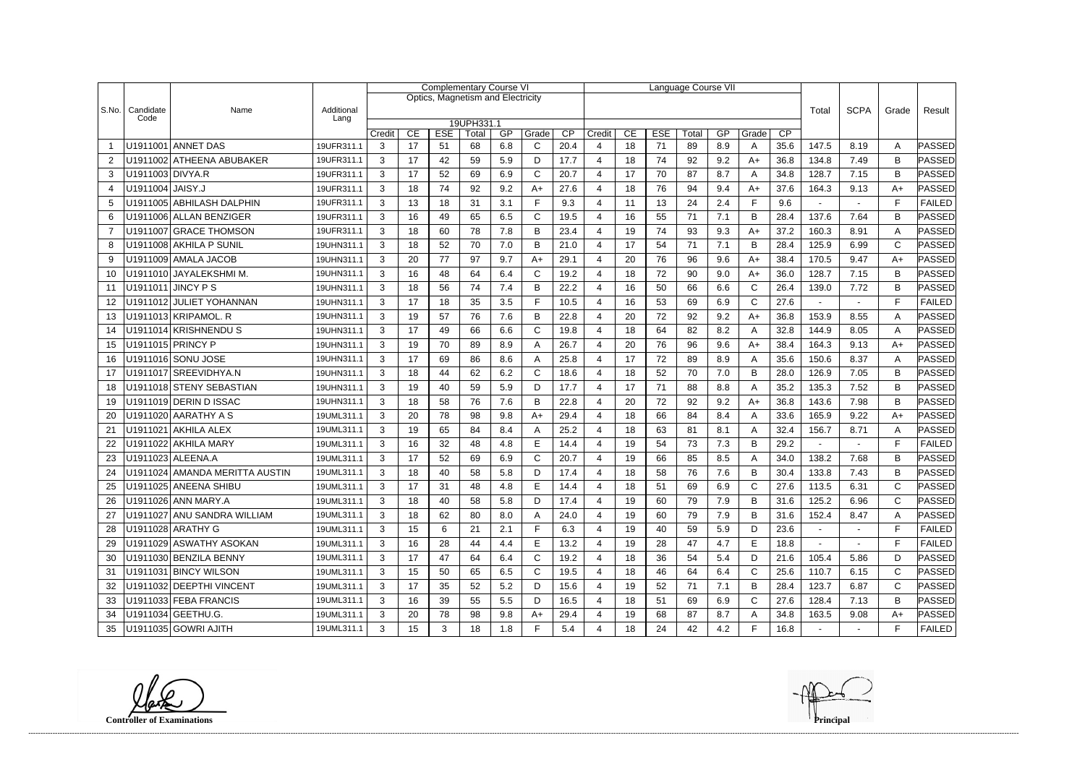|                |                   |                                |                          | <b>Complementary Course VI</b> |          |                  |                                   |           |              |            |                       |          |                  | Language Course VII |     |              |       |                          |                |              |               |
|----------------|-------------------|--------------------------------|--------------------------|--------------------------------|----------|------------------|-----------------------------------|-----------|--------------|------------|-----------------------|----------|------------------|---------------------|-----|--------------|-------|--------------------------|----------------|--------------|---------------|
|                |                   |                                |                          |                                |          |                  | Optics, Magnetism and Electricity |           |              |            |                       |          |                  |                     |     |              |       |                          |                |              |               |
| S.No.          | Candidate<br>Code | Name                           | Additional<br>Lang       |                                |          |                  |                                   |           |              |            |                       |          |                  |                     |     |              | Total | <b>SCPA</b>              | Grade          | Result       |               |
|                |                   |                                |                          |                                |          |                  | 19UPH331.1                        |           |              |            |                       |          |                  |                     | GP  |              | CP    |                          |                |              |               |
|                |                   | U1911001 ANNET DAS             | 19UFR311.1               | Credit<br>3                    | CE<br>17 | <b>ESE</b><br>51 | Total<br>68                       | GP<br>6.8 | Grade<br>C   | CP<br>20.4 | Credit<br>4           | CE<br>18 | <b>ESE</b><br>71 | Total<br>89         | 8.9 | Grade<br>A   | 35.6  | 147.5                    | 8.19           | A            | PASSED        |
| $\overline{2}$ |                   | U1911002 ATHEENA ABUBAKER      | 19UFR311.1               | 3                              | 17       | 42               | 59                                | 5.9       | D            | 17.7       | 4                     | 18       | 74               | 92                  | 9.2 | $A+$         | 36.8  | 134.8                    | 7.49           | В            | PASSED        |
| 3              | U1911003 DIVYA.R  |                                | 19UFR311.1               | 3                              | 17       | 52               | 69                                | 6.9       | C            | 20.7       | 4                     | 17       | 70               | 87                  | 8.7 | A            | 34.8  | 128.7                    | 7.15           | B            | PASSED        |
| 4              | U1911004 JAISY.J  |                                | 19UFR311.1               | 3                              | 18       | 74               | 92                                | 9.2       | $A+$         | 27.6       | $\overline{4}$        | 18       | 76               | 94                  | 9.4 | A+           | 37.6  | 164.3                    | 9.13           | $A+$         | PASSED        |
| 5              |                   | U1911005 ABHILASH DALPHIN      | 19UFR311.1               | 3                              | 13       | 18               | 31                                | 3.1       | F            | 9.3        | 4                     | 11       | 13               | 24                  | 2.4 | F            | 9.6   |                          |                | F            | <b>FAILED</b> |
| 6              |                   | U1911006 ALLAN BENZIGER        | 19UFR311.1               | 3                              | 16       | 49               | 65                                | 6.5       | $\mathsf C$  | 19.5       | 4                     | 16       | 55               | 71                  | 7.1 | B            | 28.4  | 137.6                    | 7.64           | B            | PASSED        |
| $\overline{7}$ |                   | U1911007 GRACE THOMSON         | 19UFR311.1               | 3                              | 18       | 60               | 78                                | 7.8       | B            | 23.4       | 4                     | 19       | 74               | 93                  | 9.3 | $A+$         | 37.2  | 160.3                    | 8.91           | A            | PASSED        |
| 8              |                   | U1911008 AKHILA P SUNIL        | 19UHN311.1               | 3                              | 18       | 52               | 70                                | 7.0       | B            | 21.0       | 4                     | 17       | 54               | 71                  | 7.1 | B            | 28.4  | 125.9                    | 6.99           | C            | PASSED        |
| 9              |                   | U1911009 AMALA JACOB           | 19UHN311.1               | 3                              | 20       | 77               | 97                                | 9.7       | $A+$         | 29.1       | $\overline{4}$        | 20       | 76               | 96                  | 9.6 | $A+$         | 38.4  | 170.5                    | 9.47           | $A+$         | PASSED        |
| 10             |                   | U1911010 JAYALEKSHMI M.        |                          | 3                              | 16       | 48               | 64                                | 6.4       | C            | 19.2       | 4                     | 18       | 72               | 90                  | 9.0 | $A+$         | 36.0  | 128.7                    | 7.15           | B            | PASSED        |
|                |                   | U1911011 JINCY P S             | 19UHN311.1<br>19UHN311.1 | 3                              | 18       | 56               | 74                                | 7.4       | B            | 22.2       | 4                     | 16       | 50               | 66                  | 6.6 | $\mathsf{C}$ | 26.4  |                          |                | B            | PASSED        |
| 11             |                   | U1911012 JULIET YOHANNAN       | 19UHN311.1               |                                | 17       |                  |                                   |           | F            |            |                       |          |                  |                     |     | $\mathsf{C}$ |       | 139.0                    | 7.72           | E            |               |
| 12             |                   |                                |                          | 3                              |          | 18               | 35                                | 3.5       |              | 10.5       | 4                     | 16       | 53               | 69                  | 6.9 |              | 27.6  |                          | $\blacksquare$ |              | <b>FAILED</b> |
| 13             |                   | U1911013 KRIPAMOL. R           | 19UHN311.1               | 3                              | 19       | 57               | 76                                | 7.6       | B            | 22.8       | 4                     | 20       | 72               | 92                  | 9.2 | $A+$         | 36.8  | 153.9                    | 8.55           | A            | PASSED        |
| 14             |                   | U1911014 KRISHNENDU S          | 19UHN311.1               | 3                              | 17       | 49               | 66                                | 6.6       | $\mathsf{C}$ | 19.8       | $\boldsymbol{\Delta}$ | 18       | 64               | 82                  | 8.2 | A            | 32.8  | 144.9                    | 8.05           | A            | PASSED        |
| 15             |                   | U1911015 PRINCY P              | 19UHN311.1               | 3                              | 19       | 70               | 89                                | 8.9       | Α            | 26.7       | 4                     | 20       | 76               | 96                  | 9.6 | $A+$         | 38.4  | 164.3                    | 9.13           | $A+$         | PASSED        |
| 16             |                   | U1911016 SONU JOSE             | 19UHN311.1               | 3                              | 17       | 69               | 86                                | 8.6       | A            | 25.8       | 4                     | 17       | 72               | 89                  | 8.9 | A            | 35.6  | 150.6                    | 8.37           | A            | PASSED        |
| 17             |                   | U1911017 SREEVIDHYA.N          | 19UHN311.1               | 3                              | 18       | 44               | 62                                | 6.2       | C            | 18.6       | 4                     | 18       | 52               | 70                  | 7.0 | B            | 28.0  | 126.9                    | 7.05           | B            | PASSED        |
| 18             |                   | U1911018 STENY SEBASTIAN       | 19UHN311.1               | 3                              | 19       | 40               | 59                                | 5.9       | D            | 17.7       | 4                     | 17       | 71               | 88                  | 8.8 | A            | 35.2  | 135.3                    | 7.52           | B            | PASSED        |
| 19             |                   | U1911019 DERIN D ISSAC         | 19UHN311.1               | 3                              | 18       | 58               | 76                                | 7.6       | B            | 22.8       | $\overline{4}$        | 20       | 72               | 92                  | 9.2 | A+           | 36.8  | 143.6                    | 7.98           | B            | PASSED        |
| 20             |                   | U1911020 AARATHY A S           | 19UML311.1               | 3                              | 20       | 78               | 98                                | 9.8       | $A+$         | 29.4       | Δ                     | 18       | 66               | 84                  | 8.4 | A            | 33.6  | 165.9                    | 9.22           | $A+$         | PASSED        |
| 21             |                   | U1911021 AKHILA ALEX           | 19UML311.1               | 3                              | 19       | 65               | 84                                | 8.4       | A            | 25.2       | 4                     | 18       | 63               | 81                  | 8.1 | A            | 32.4  | 156.7                    | 8.71           | A            | PASSED        |
| 22             |                   | U1911022 AKHILA MARY           | 19UML311.1               | 3                              | 16       | 32               | 48                                | 4.8       | E            | 14.4       | 4                     | 19       | 54               | 73                  | 7.3 | B            | 29.2  |                          | $\blacksquare$ | E            | <b>FAILED</b> |
| 23             |                   | U1911023 ALEENA.A              | 19UML311.1               | 3                              | 17       | 52               | 69                                | 6.9       | C            | 20.7       | 4                     | 19       | 66               | 85                  | 8.5 | A            | 34.0  | 138.2                    | 7.68           | B            | PASSED        |
| 24             |                   | U1911024 AMANDA MERITTA AUSTIN | 19UML311.1               | 3                              | 18       | 40               | 58                                | 5.8       | D            | 17.4       | ⊿                     | 18       | 58               | 76                  | 7.6 | B            | 30.4  | 133.8                    | 7.43           | B            | PASSED        |
| 25             |                   | U1911025 ANEENA SHIBU          | 19UML311.1               | 3                              | 17       | 31               | 48                                | 4.8       | E            | 14.4       | Δ                     | 18       | 51               | 69                  | 6.9 | $\mathsf{C}$ | 27.6  | 113.5                    | 6.31           | $\cap$       | PASSED        |
| 26             |                   | U1911026 ANN MARY.A            | 19UML311.1               | 3                              | 18       | 40               | 58                                | 5.8       | D            | 17.4       | 4                     | 19       | 60               | 79                  | 7.9 | B            | 31.6  | 125.2                    | 6.96           | $\mathsf{C}$ | PASSED        |
| 27             |                   | U1911027 ANU SANDRA WILLIAM    | 19UML311.1               | 3                              | 18       | 62               | 80                                | 8.0       | Α            | 24.0       | 4                     | 19       | 60               | 79                  | 7.9 | B            | 31.6  | 152.4                    | 8.47           | A            | PASSED        |
| 28             |                   | U1911028 ARATHY G              | 19UML311.1               | 3                              | 15       | 6                | 21                                | 2.1       | F            | 6.3        | 4                     | 19       | 40               | 59                  | 5.9 | D            | 23.6  |                          |                | F            | <b>FAILED</b> |
| 29             |                   | U1911029 ASWATHY ASOKAN        | 19UML311.1               | 3                              | 16       | 28               | 44                                | 4.4       | E            | 13.2       | 4                     | 19       | 28               | 47                  | 4.7 | E            | 18.8  | $\overline{\phantom{a}}$ |                | F            | <b>FAILED</b> |
| 30             |                   | U1911030 BENZILA BENNY         | 19UML311.1               | 3                              | 17       | 47               | 64                                | 6.4       | C            | 19.2       | 4                     | 18       | 36               | 54                  | 5.4 | D            | 21.6  | 105.4                    | 5.86           | D            | PASSED        |
| 31             |                   | U1911031 BINCY WILSON          | 19UML311.1               | 3                              | 15       | 50               | 65                                | 6.5       | C            | 19.5       | 4                     | 18       | 46               | 64                  | 6.4 | $\mathsf{C}$ | 25.6  | 110.7                    | 6.15           | $\mathsf{C}$ | PASSED        |
| 32             |                   | U1911032 DEEPTHI VINCENT       | 19UML311.1               | 3                              | 17       | 35               | 52                                | 5.2       | D            | 15.6       | 4                     | 19       | 52               | 71                  | 7.1 | B            | 28.4  | 123.7                    | 6.87           | C            | PASSED        |
| 33             |                   | U1911033 FEBA FRANCIS          | 19UML311.1               | 3                              | 16       | 39               | 55                                | 5.5       | D            | 16.5       | 4                     | 18       | 51               | 69                  | 6.9 | $\mathsf{C}$ | 27.6  | 128.4                    | 7.13           | B            | PASSED        |
| 34             |                   | U1911034 GEETHU.G.             | 19UML311.1               | $\mathbf{3}$                   | 20       | 78               | 98                                | 9.8       | $A+$         | 29.4       | 4                     | 19       | 68               | 87                  | 8.7 | A            | 34.8  | 163.5                    | 9.08           | $A+$         | PASSED        |
| 35             |                   | U1911035 GOWRI AJITH           | 19UML311.1               | 3                              | 15       | 3                | 18                                | 1.8       | F.           | 5.4        | 4                     | 18       | 24               | 42                  | 4.2 | F.           | 16.8  |                          | $\sim$         | F            | <b>FAILED</b> |

**Controller of Examinations Principal**